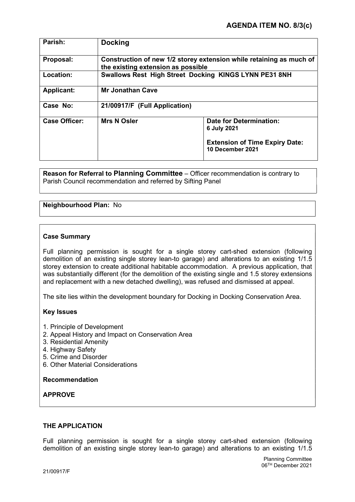| <b>Docking</b>                |                                                                                                     |
|-------------------------------|-----------------------------------------------------------------------------------------------------|
|                               | Construction of new 1/2 storey extension while retaining as much of                                 |
|                               | Swallows Rest High Street Docking KINGS LYNN PE31 8NH                                               |
| <b>Mr Jonathan Cave</b>       |                                                                                                     |
| 21/00917/F (Full Application) |                                                                                                     |
| <b>Mrs N Osler</b>            | Date for Determination:<br>6 July 2021<br><b>Extension of Time Expiry Date:</b><br>10 December 2021 |
|                               | the existing extension as possible                                                                  |

Reason for Referral to Planning Committee – Officer recommendation is contrary to Parish Council recommendation and referred by Sifting Panel

# Neighbourhood Plan: No

## Case Summary

Full planning permission is sought for a single storey cart-shed extension (following demolition of an existing single storey lean-to garage) and alterations to an existing 1/1.5 storey extension to create additional habitable accommodation. A previous application, that was substantially different (for the demolition of the existing single and 1.5 storey extensions and replacement with a new detached dwelling), was refused and dismissed at appeal.

The site lies within the development boundary for Docking in Docking Conservation Area.

## Key Issues

- 1. Principle of Development
- 2. Appeal History and Impact on Conservation Area
- 3. Residential Amenity
- 4. Highway Safety
- 5. Crime and Disorder
- 6. Other Material Considerations

#### Recommendation

## APPROVE

## THE APPLICATION

Full planning permission is sought for a single storey cart-shed extension (following demolition of an existing single storey lean-to garage) and alterations to an existing 1/1.5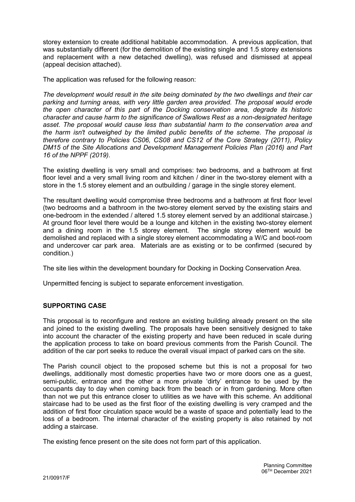storey extension to create additional habitable accommodation. A previous application, that was substantially different (for the demolition of the existing single and 1.5 storey extensions and replacement with a new detached dwelling), was refused and dismissed at appeal (appeal decision attached).

The application was refused for the following reason:

The development would result in the site being dominated by the two dwellings and their car parking and turning areas, with very little garden area provided. The proposal would erode the open character of this part of the Docking conservation area, degrade its historic character and cause harm to the significance of Swallows Rest as a non-designated heritage asset. The proposal would cause less than substantial harm to the conservation area and the harm isn't outweighed by the limited public benefits of the scheme. The proposal is therefore contrary to Policies CS06, CS08 and CS12 of the Core Strategy (2011), Policy DM15 of the Site Allocations and Development Management Policies Plan (2016) and Part 16 of the NPPF (2019).

The existing dwelling is very small and comprises: two bedrooms, and a bathroom at first floor level and a very small living room and kitchen / diner in the two-storey element with a store in the 1.5 storey element and an outbuilding / garage in the single storey element.

The resultant dwelling would compromise three bedrooms and a bathroom at first floor level (two bedrooms and a bathroom in the two-storey element served by the existing stairs and one-bedroom in the extended / altered 1.5 storey element served by an additional staircase.) At ground floor level there would be a lounge and kitchen in the existing two-storey element and a dining room in the 1.5 storey element. The single storey element would be demolished and replaced with a single storey element accommodating a W/C and boot-room and undercover car park area. Materials are as existing or to be confirmed (secured by condition.)

The site lies within the development boundary for Docking in Docking Conservation Area.

Unpermitted fencing is subject to separate enforcement investigation.

## SUPPORTING CASE

This proposal is to reconfigure and restore an existing building already present on the site and joined to the existing dwelling. The proposals have been sensitively designed to take into account the character of the existing property and have been reduced in scale during the application process to take on board previous comments from the Parish Council. The addition of the car port seeks to reduce the overall visual impact of parked cars on the site.

The Parish council object to the proposed scheme but this is not a proposal for two dwellings, additionally most domestic properties have two or more doors one as a guest, semi-public, entrance and the other a more private 'dirty' entrance to be used by the occupants day to day when coming back from the beach or in from gardening. More often than not we put this entrance closer to utilities as we have with this scheme. An additional staircase had to be used as the first floor of the existing dwelling is very cramped and the addition of first floor circulation space would be a waste of space and potentially lead to the loss of a bedroom. The internal character of the existing property is also retained by not adding a staircase.

The existing fence present on the site does not form part of this application.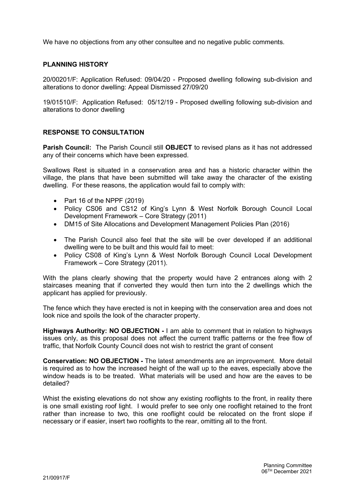We have no objections from any other consultee and no negative public comments.

# PI ANNING HISTORY

20/00201/F: Application Refused: 09/04/20 - Proposed dwelling following sub-division and alterations to donor dwelling: Appeal Dismissed 27/09/20

19/01510/F: Application Refused: 05/12/19 - Proposed dwelling following sub-division and alterations to donor dwelling

## RESPONSE TO CONSULTATION

Parish Council: The Parish Council still OBJECT to revised plans as it has not addressed any of their concerns which have been expressed.

Swallows Rest is situated in a conservation area and has a historic character within the village, the plans that have been submitted will take away the character of the existing dwelling. For these reasons, the application would fail to comply with:

- Part 16 of the NPPF (2019)
- Policy CS06 and CS12 of King's Lynn & West Norfolk Borough Council Local Development Framework – Core Strategy (2011)
- DM15 of Site Allocations and Development Management Policies Plan (2016)
- The Parish Council also feel that the site will be over developed if an additional dwelling were to be built and this would fail to meet:
- Policy CS08 of King's Lynn & West Norfolk Borough Council Local Development Framework – Core Strategy (2011).

With the plans clearly showing that the property would have 2 entrances along with 2 staircases meaning that if converted they would then turn into the 2 dwellings which the applicant has applied for previously.

The fence which they have erected is not in keeping with the conservation area and does not look nice and spoils the look of the character property.

Highways Authority: NO OBJECTION - I am able to comment that in relation to highways issues only, as this proposal does not affect the current traffic patterns or the free flow of traffic, that Norfolk County Council does not wish to restrict the grant of consent

Conservation: NO OBJECTION - The latest amendments are an improvement. More detail is required as to how the increased height of the wall up to the eaves, especially above the window heads is to be treated. What materials will be used and how are the eaves to be detailed?

Whist the existing elevations do not show any existing rooflights to the front, in reality there is one small existing roof light. I would prefer to see only one rooflight retained to the front rather than increase to two, this one rooflight could be relocated on the front slope if necessary or if easier, insert two rooflights to the rear, omitting all to the front.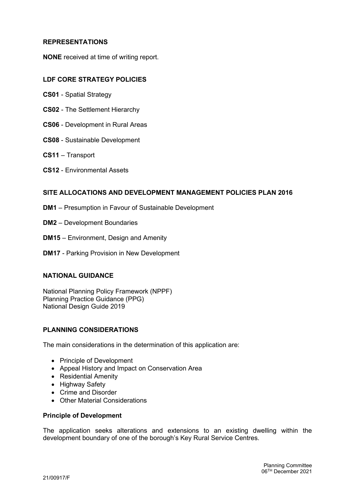## REPRESENTATIONS

NONE received at time of writing report.

#### LDF CORE STRATEGY POLICIES

- CS01 Spatial Strategy
- CS02 The Settlement Hierarchy
- CS06 Development in Rural Areas
- CS08 Sustainable Development
- CS11 Transport
- CS12 Environmental Assets

#### SITE ALLOCATIONS AND DEVELOPMENT MANAGEMENT POLICIES PLAN 2016

- DM1 Presumption in Favour of Sustainable Development
- DM2 Development Boundaries
- DM15 Environment, Design and Amenity
- DM17 Parking Provision in New Development

## NATIONAL GUIDANCE

National Planning Policy Framework (NPPF) Planning Practice Guidance (PPG) National Design Guide 2019

## PLANNING CONSIDERATIONS

The main considerations in the determination of this application are:

- Principle of Development
- Appeal History and Impact on Conservation Area
- Residential Amenity
- Highway Safety
- Crime and Disorder
- Other Material Considerations

#### Principle of Development

The application seeks alterations and extensions to an existing dwelling within the development boundary of one of the borough's Key Rural Service Centres.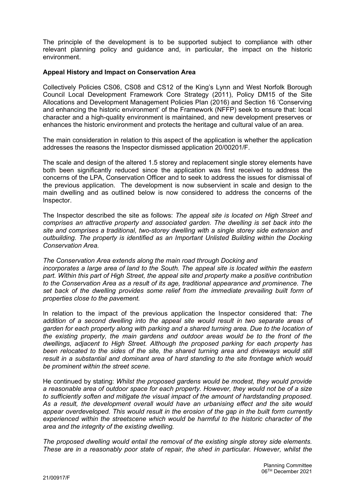The principle of the development is to be supported subject to compliance with other relevant planning policy and guidance and, in particular, the impact on the historic environment.

#### Appeal History and Impact on Conservation Area

Collectively Policies CS06, CS08 and CS12 of the King's Lynn and West Norfolk Borough Council Local Development Framework Core Strategy (2011), Policy DM15 of the Site Allocations and Development Management Policies Plan (2016) and Section 16 'Conserving and enhancing the historic environment' of the Framework (NFFP) seek to ensure that: local character and a high-quality environment is maintained, and new development preserves or enhances the historic environment and protects the heritage and cultural value of an area.

The main consideration in relation to this aspect of the application is whether the application addresses the reasons the Inspector dismissed application 20/00201/F.

The scale and design of the altered 1.5 storey and replacement single storey elements have both been significantly reduced since the application was first received to address the concerns of the LPA, Conservation Officer and to seek to address the issues for dismissal of the previous application. The development is now subservient in scale and design to the main dwelling and as outlined below is now considered to address the concerns of the Inspector.

The Inspector described the site as follows: The appeal site is located on High Street and comprises an attractive property and associated garden. The dwelling is set back into the site and comprises a traditional, two-storey dwelling with a single storey side extension and outbuilding. The property is identified as an Important Unlisted Building within the Docking Conservation Area.

The Conservation Area extends along the main road through Docking and incorporates a large area of land to the South. The appeal site is located within the eastern part. Within this part of High Street, the appeal site and property make a positive contribution to the Conservation Area as a result of its age, traditional appearance and prominence. The set back of the dwelling provides some relief from the immediate prevailing built form of properties close to the pavement.

In relation to the impact of the previous application the Inspector considered that: The addition of a second dwelling into the appeal site would result in two separate areas of garden for each property along with parking and a shared turning area. Due to the location of the existing property, the main gardens and outdoor areas would be to the front of the dwellings, adjacent to High Street. Although the proposed parking for each property has been relocated to the sides of the site, the shared turning area and driveways would still result in a substantial and dominant area of hard standing to the site frontage which would be prominent within the street scene.

He continued by stating: Whilst the proposed gardens would be modest, they would provide a reasonable area of outdoor space for each property. However, they would not be of a size to sufficiently soften and mitigate the visual impact of the amount of hardstanding proposed. As a result, the development overall would have an urbanising effect and the site would appear overdeveloped. This would result in the erosion of the gap in the built form currently experienced within the streetscene which would be harmful to the historic character of the area and the integrity of the existing dwelling.

The proposed dwelling would entail the removal of the existing single storey side elements. These are in a reasonably poor state of repair, the shed in particular. However, whilst the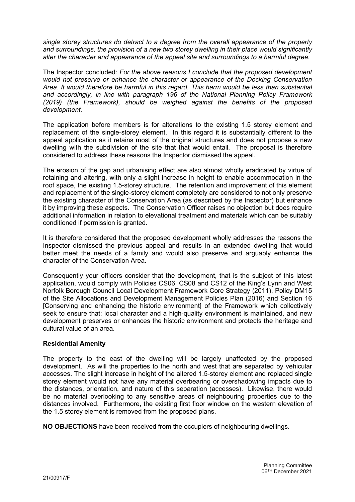single storey structures do detract to a degree from the overall appearance of the property and surroundings, the provision of a new two storey dwelling in their place would significantly alter the character and appearance of the appeal site and surroundings to a harmful degree.

The Inspector concluded: For the above reasons I conclude that the proposed development would not preserve or enhance the character or appearance of the Docking Conservation Area. It would therefore be harmful in this regard. This harm would be less than substantial and accordingly, in line with paragraph 196 of the National Planning Policy Framework (2019) (the Framework), should be weighed against the benefits of the proposed development.

The application before members is for alterations to the existing 1.5 storey element and replacement of the single-storey element. In this regard it is substantially different to the appeal application as it retains most of the original structures and does not propose a new dwelling with the subdivision of the site that that would entail. The proposal is therefore considered to address these reasons the Inspector dismissed the appeal.

The erosion of the gap and urbanising effect are also almost wholly eradicated by virtue of retaining and altering, with only a slight increase in height to enable accommodation in the roof space, the existing 1.5-storey structure. The retention and improvement of this element and replacement of the single-storey element completely are considered to not only preserve the existing character of the Conservation Area (as described by the Inspector) but enhance it by improving these aspects. The Conservation Officer raises no objection but does require additional information in relation to elevational treatment and materials which can be suitably conditioned if permission is granted.

It is therefore considered that the proposed development wholly addresses the reasons the Inspector dismissed the previous appeal and results in an extended dwelling that would better meet the needs of a family and would also preserve and arguably enhance the character of the Conservation Area.

Consequently your officers consider that the development, that is the subject of this latest application, would comply with Policies CS06, CS08 and CS12 of the King's Lynn and West Norfolk Borough Council Local Development Framework Core Strategy (2011), Policy DM15 of the Site Allocations and Development Management Policies Plan (2016) and Section 16 [Conserving and enhancing the historic environment] of the Framework which collectively seek to ensure that: local character and a high-quality environment is maintained, and new development preserves or enhances the historic environment and protects the heritage and cultural value of an area.

## Residential Amenity

The property to the east of the dwelling will be largely unaffected by the proposed development. As will the properties to the north and west that are separated by vehicular accesses. The slight increase in height of the altered 1.5-storey element and replaced single storey element would not have any material overbearing or overshadowing impacts due to the distances, orientation, and nature of this separation (accesses). Likewise, there would be no material overlooking to any sensitive areas of neighbouring properties due to the distances involved. Furthermore, the existing first floor window on the western elevation of the 1.5 storey element is removed from the proposed plans.

NO OBJECTIONS have been received from the occupiers of neighbouring dwellings.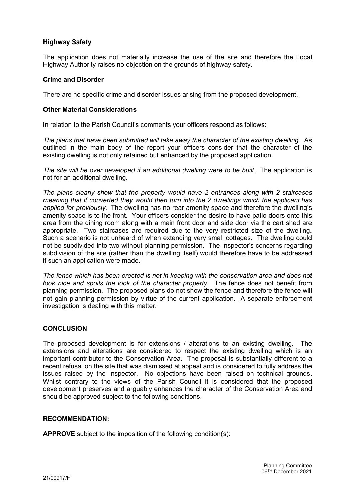## Highway Safety

The application does not materially increase the use of the site and therefore the Local Highway Authority raises no objection on the grounds of highway safety.

#### Crime and Disorder

There are no specific crime and disorder issues arising from the proposed development.

#### Other Material Considerations

In relation to the Parish Council's comments your officers respond as follows:

The plans that have been submitted will take away the character of the existing dwelling. As outlined in the main body of the report your officers consider that the character of the existing dwelling is not only retained but enhanced by the proposed application.

The site will be over developed if an additional dwelling were to be built. The application is not for an additional dwelling.

The plans clearly show that the property would have 2 entrances along with 2 staircases meaning that if converted they would then turn into the 2 dwellings which the applicant has applied for previously. The dwelling has no rear amenity space and therefore the dwelling's amenity space is to the front. Your officers consider the desire to have patio doors onto this area from the dining room along with a main front door and side door via the cart shed are appropriate. Two staircases are required due to the very restricted size of the dwelling. Such a scenario is not unheard of when extending very small cottages. The dwelling could not be subdivided into two without planning permission. The Inspector's concerns regarding subdivision of the site (rather than the dwelling itself) would therefore have to be addressed if such an application were made.

The fence which has been erected is not in keeping with the conservation area and does not look nice and spoils the look of the character property. The fence does not benefit from planning permission. The proposed plans do not show the fence and therefore the fence will not gain planning permission by virtue of the current application. A separate enforcement investigation is dealing with this matter.

#### **CONCLUSION**

The proposed development is for extensions / alterations to an existing dwelling. The extensions and alterations are considered to respect the existing dwelling which is an important contributor to the Conservation Area. The proposal is substantially different to a recent refusal on the site that was dismissed at appeal and is considered to fully address the issues raised by the Inspector. No objections have been raised on technical grounds. Whilst contrary to the views of the Parish Council it is considered that the proposed development preserves and arguably enhances the character of the Conservation Area and should be approved subject to the following conditions.

#### RECOMMENDATION:

APPROVE subject to the imposition of the following condition(s):